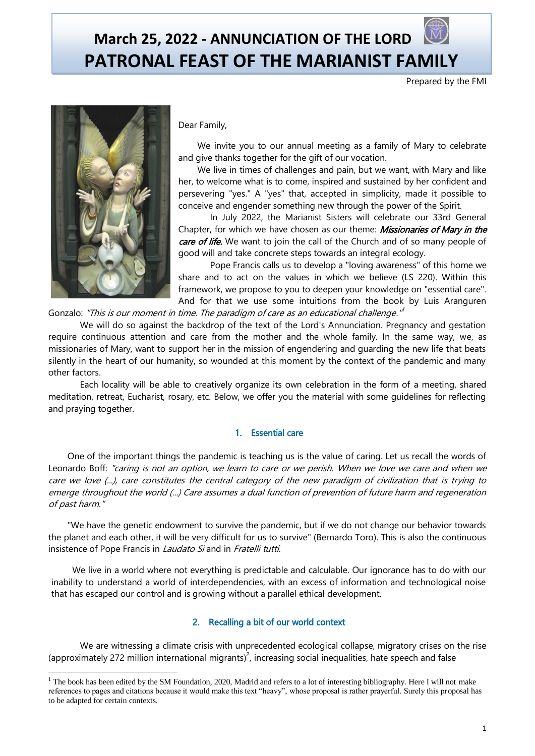# **March 25, 2022 - ANNUNCIATION OF THE LORD PATRONAL FEAST OF THE MARIANIST FAMILY**

Prepared by the FMI



 $\overline{a}$ 

# Dear Family,

We invite you to our annual meeting as a family of Mary to celebrate and give thanks together for the gift of our vocation.

We live in times of challenges and pain, but we want, with Mary and like her, to welcome what is to come, inspired and sustained by her confident and persevering "yes." A "yes" that, accepted in simplicity, made it possible to conceive and engender something new through the power of the Spirit.

In July 2022, the Marianist Sisters will celebrate our 33rd General Chapter, for which we have chosen as our theme: *Missionaries of Mary in the* care of life. We want to join the call of the Church and of so many people of good will and take concrete steps towards an integral ecology.

Pope Francis calls us to develop a "loving awareness" of this home we share and to act on the values in which we believe (LS 220). Within this framework, we propose to you to deepen your knowledge on "essential care". And for that we use some intuitions from the book by Luis Aranguren

Gonzalo: "This is our moment in time. The paradigm of care as an educational challenge."<sup>1</sup>

We will do so against the backdrop of the text of the Lord's Annunciation. Pregnancy and gestation require continuous attention and care from the mother and the whole family. In the same way, we, as missionaries of Mary, want to support her in the mission of engendering and guarding the new life that beats silently in the heart of our humanity, so wounded at this moment by the context of the pandemic and many other factors.

Each locality will be able to creatively organize its own celebration in the form of a meeting, shared meditation, retreat, Eucharist, rosary, etc. Below, we offer you the material with some guidelines for reflecting and praying together.

# 1. Essential care

One of the important things the pandemic is teaching us is the value of caring. Let us recall the words of Leonardo Boff: "caring is not an option, we learn to care or we perish. When we love we care and when we care we love (...), care constitutes the central category of the new paradigm of civilization that is trying to emerge throughout the world (...) Care assumes a dual function of prevention of future harm and regeneration of past harm."

"We have the genetic endowment to survive the pandemic, but if we do not change our behavior towards the planet and each other, it will be very difficult for us to survive" (Bernardo Toro). This is also the continuous insistence of Pope Francis in *Laudato Si* and in *Fratelli tutti.* 

 We live in a world where not everything is predictable and calculable. Our ignorance has to do with our inability to understand a world of interdependencies, with an excess of information and technological noise that has escaped our control and is growing without a parallel ethical development.

# 2. Recalling a bit of our world context

We are witnessing a climate crisis with unprecedented ecological collapse, migratory crises on the rise (approximately 272 million international migrants)<sup>2</sup>, increasing social inequalities, hate speech and false

 $1$  The book has been edited by the SM Foundation, 2020, Madrid and refers to a lot of interesting bibliography. Here I will not make references to pages and citations because it would make this text "heavy", whose proposal is rather prayerful. Surely this proposal has to be adapted for certain contexts.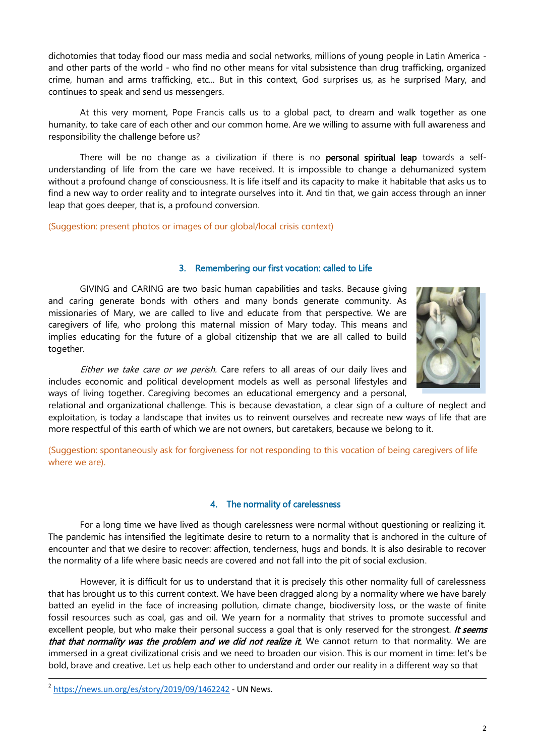dichotomies that today flood our mass media and social networks, millions of young people in Latin America and other parts of the world - who find no other means for vital subsistence than drug trafficking, organized crime, human and arms trafficking, etc... But in this context, God surprises us, as he surprised Mary, and continues to speak and send us messengers.

At this very moment, Pope Francis calls us to a global pact, to dream and walk together as one humanity, to take care of each other and our common home. Are we willing to assume with full awareness and responsibility the challenge before us?

There will be no change as a civilization if there is no **personal spiritual leap** towards a selfunderstanding of life from the care we have received. It is impossible to change a dehumanized system without a profound change of consciousness. It is life itself and its capacity to make it habitable that asks us to find a new way to order reality and to integrate ourselves into it. And tin that, we gain access through an inner leap that goes deeper, that is, a profound conversion.

(Suggestion: present photos or images of our global/local crisis context)

# 3. Remembering our first vocation: called to Life

GIVING and CARING are two basic human capabilities and tasks. Because giving and caring generate bonds with others and many bonds generate community. As missionaries of Mary, we are called to live and educate from that perspective. We are caregivers of life, who prolong this maternal mission of Mary today. This means and implies educating for the future of a global citizenship that we are all called to build together.



Either we take care or we perish. Care refers to all areas of our daily lives and includes economic and political development models as well as personal lifestyles and ways of living together. Caregiving becomes an educational emergency and a personal,

relational and organizational challenge. This is because devastation, a clear sign of a culture of neglect and exploitation, is today a landscape that invites us to reinvent ourselves and recreate new ways of life that are more respectful of this earth of which we are not owners, but caretakers, because we belong to it.

(Suggestion: spontaneously ask for forgiveness for not responding to this vocation of being caregivers of life where we are).

#### 4. The normality of carelessness

For a long time we have lived as though carelessness were normal without questioning or realizing it. The pandemic has intensified the legitimate desire to return to a normality that is anchored in the culture of encounter and that we desire to recover: affection, tenderness, hugs and bonds. It is also desirable to recover the normality of a life where basic needs are covered and not fall into the pit of social exclusion.

However, it is difficult for us to understand that it is precisely this other normality full of carelessness that has brought us to this current context. We have been dragged along by a normality where we have barely batted an eyelid in the face of increasing pollution, climate change, biodiversity loss, or the waste of finite fossil resources such as coal, gas and oil. We yearn for a normality that strives to promote successful and excellent people, but who make their personal success a goal that is only reserved for the strongest. It seems that that normality was the problem and we did not realize it. We cannot return to that normality. We are immersed in a great civilizational crisis and we need to broaden our vision. This is our moment in time: let's be bold, brave and creative. Let us help each other to understand and order our reality in a different way so that

2 <https://news.un.org/es/story/2019/09/1462242> - UN News.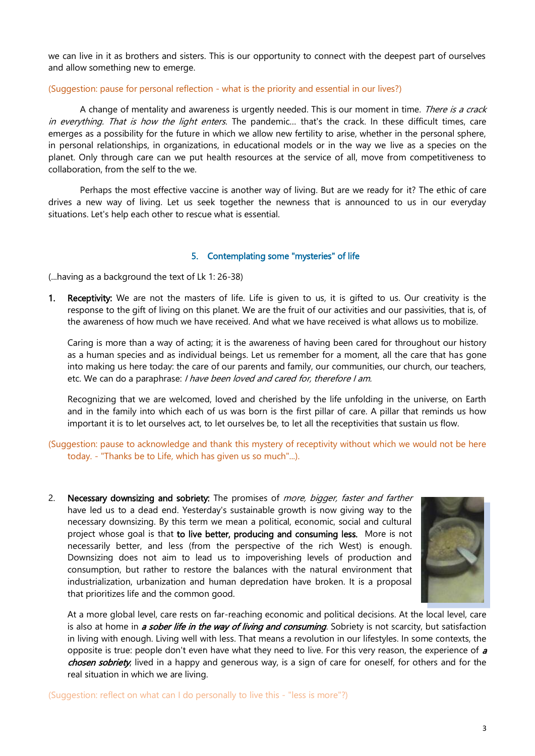we can live in it as brothers and sisters. This is our opportunity to connect with the deepest part of ourselves and allow something new to emerge.

#### (Suggestion: pause for personal reflection - what is the priority and essential in our lives?)

A change of mentality and awareness is urgently needed. This is our moment in time. There is a crack in everything. That is how the light enters. The pandemic... that's the crack. In these difficult times, care emerges as a possibility for the future in which we allow new fertility to arise, whether in the personal sphere, in personal relationships, in organizations, in educational models or in the way we live as a species on the planet. Only through care can we put health resources at the service of all, move from competitiveness to collaboration, from the self to the we.

Perhaps the most effective vaccine is another way of living. But are we ready for it? The ethic of care drives a new way of living. Let us seek together the newness that is announced to us in our everyday situations. Let's help each other to rescue what is essential.

#### 5. Contemplating some "mysteries" of life

(...having as a background the text of Lk 1: 26-38)

1. Receptivity: We are not the masters of life. Life is given to us, it is gifted to us. Our creativity is the response to the gift of living on this planet. We are the fruit of our activities and our passivities, that is, of the awareness of how much we have received. And what we have received is what allows us to mobilize.

Caring is more than a way of acting; it is the awareness of having been cared for throughout our history as a human species and as individual beings. Let us remember for a moment, all the care that has gone into making us here today: the care of our parents and family, our communities, our church, our teachers, etc. We can do a paraphrase: *I have been loved and cared for, therefore I am.* 

Recognizing that we are welcomed, loved and cherished by the life unfolding in the universe, on Earth and in the family into which each of us was born is the first pillar of care. A pillar that reminds us how important it is to let ourselves act, to let ourselves be, to let all the receptivities that sustain us flow.

# (Suggestion: pause to acknowledge and thank this mystery of receptivity without which we would not be here today. - "Thanks be to Life, which has given us so much"...).

2. Necessary downsizing and sobriety: The promises of *more, bigger, faster and farther* have led us to a dead end. Yesterday's sustainable growth is now giving way to the necessary downsizing. By this term we mean a political, economic, social and cultural project whose goal is that to live better, producing and consuming less. More is not necessarily better, and less (from the perspective of the rich West) is enough. Downsizing does not aim to lead us to impoverishing levels of production and consumption, but rather to restore the balances with the natural environment that industrialization, urbanization and human depredation have broken. It is a proposal that prioritizes life and the common good.



At a more global level, care rests on far-reaching economic and political decisions. At the local level, care is also at home in *a sober life in the way of living and consuming*. Sobriety is not scarcity, but satisfaction in living with enough. Living well with less. That means a revolution in our lifestyles. In some contexts, the opposite is true: people don't even have what they need to live. For this very reason, the experience of a chosen sobriety, lived in a happy and generous way, is a sign of care for oneself, for others and for the real situation in which we are living.

(Suggestion: reflect on what can I do personally to live this - "less is more"?)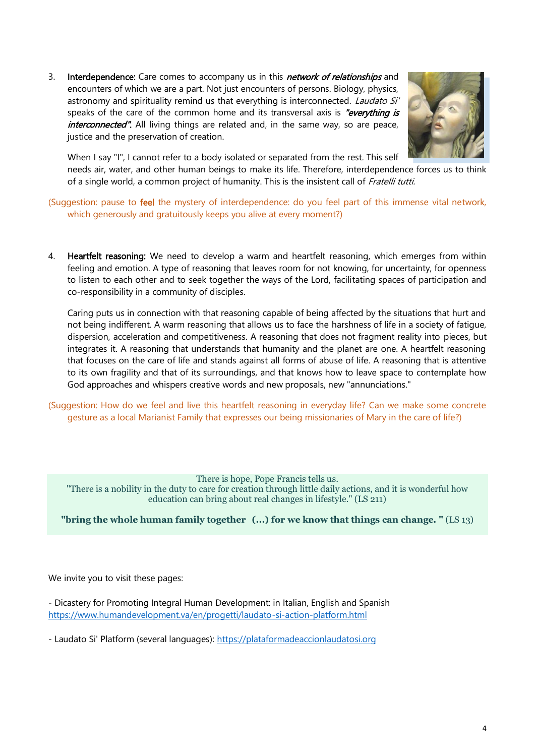3. Interdependence: Care comes to accompany us in this *network of relationships* and encounters of which we are a part. Not just encounters of persons. Biology, physics, astronomy and spirituality remind us that everything is interconnected. Laudato Si' speaks of the care of the common home and its transversal axis is "everything is interconnected". All living things are related and, in the same way, so are peace, justice and the preservation of creation.



When I say "I", I cannot refer to a body isolated or separated from the rest. This self

needs air, water, and other human beings to make its life. Therefore, interdependence forces us to think of a single world, a common project of humanity. This is the insistent call of Fratelli tutti.

(Suggestion: pause to feel the mystery of interdependence: do you feel part of this immense vital network, which generously and gratuitously keeps you alive at every moment?)

4. Heartfelt reasoning: We need to develop a warm and heartfelt reasoning, which emerges from within feeling and emotion. A type of reasoning that leaves room for not knowing, for uncertainty, for openness to listen to each other and to seek together the ways of the Lord, facilitating spaces of participation and co-responsibility in a community of disciples.

Caring puts us in connection with that reasoning capable of being affected by the situations that hurt and not being indifferent. A warm reasoning that allows us to face the harshness of life in a society of fatigue, dispersion, acceleration and competitiveness. A reasoning that does not fragment reality into pieces, but integrates it. A reasoning that understands that humanity and the planet are one. A heartfelt reasoning that focuses on the care of life and stands against all forms of abuse of life. A reasoning that is attentive to its own fragility and that of its surroundings, and that knows how to leave space to contemplate how God approaches and whispers creative words and new proposals, new "annunciations."

(Suggestion: How do we feel and live this heartfelt reasoning in everyday life? Can we make some concrete gesture as a local Marianist Family that expresses our being missionaries of Mary in the care of life?)

There is hope, Pope Francis tells us. "There is a nobility in the duty to care for creation through little daily actions, and it is wonderful how education can bring about real changes in lifestyle." (LS 211)

# **"bring the whole human family together (...) for we know that things can change. "** (LS 13)

We invite you to visit these pages:

- Dicastery for Promoting Integral Human Development: in Italian, English and Spanish <https://www.humandevelopment.va/en/progetti/laudato-si-action-platform.html>

- Laudato Si' Platform (several languages): [https://plataformadeaccionlaudatosi.org](https://plataformadeaccionlaudatosi.org/)